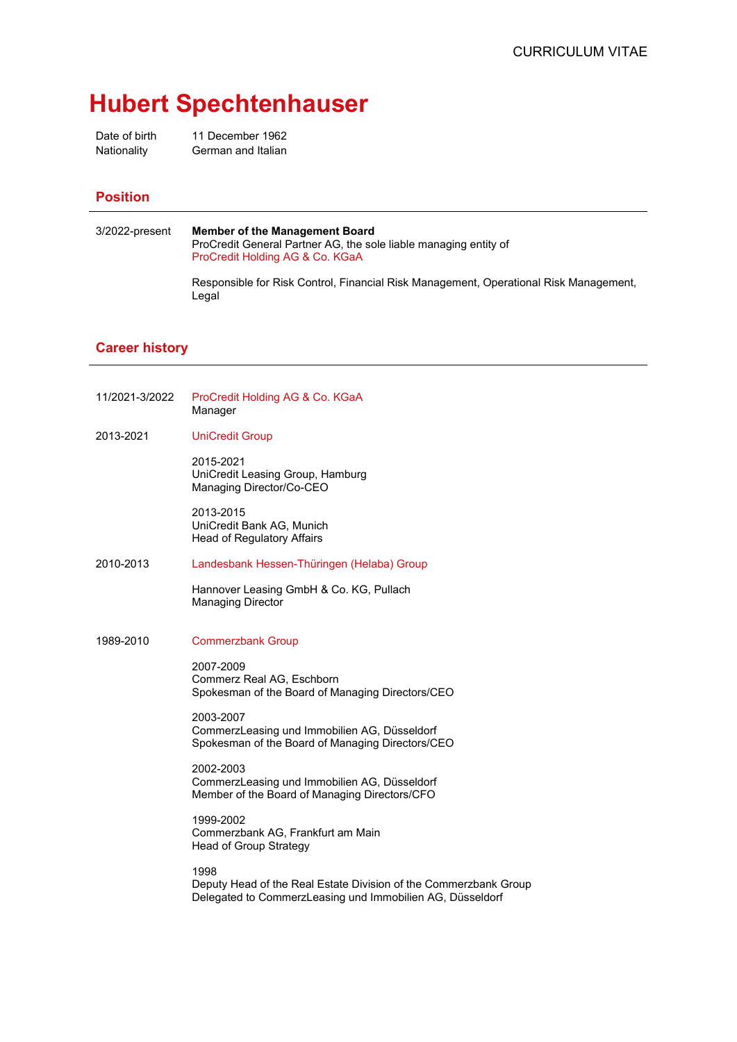## **Hubert Spechtenhauser**

Date of birth 11 December 1962 Nationality German and Italian

## **Position**

| 3/2022-present | <b>Member of the Management Board</b><br>ProCredit General Partner AG, the sole liable managing entity of<br>ProCredit Holding AG & Co. KGaA |
|----------------|----------------------------------------------------------------------------------------------------------------------------------------------|
|                | Responsible for Risk Control, Financial Risk Management, Operational Risk Management,<br>Legal                                               |

## **Career history**

- 11/2021-3/2022 ProCredit Holding AG & Co. KGaA Manager
- 2013-2021 UniCredit Group

2015-2021 UniCredit Leasing Group, Hamburg Managing Director/Co-CEO

2013-2015 UniCredit Bank AG, Munich Head of Regulatory Affairs

2010-2013 Landesbank Hessen-Thüringen (Helaba) Group

Hannover Leasing GmbH & Co. KG, Pullach Managing Director

1989-2010 Commerzbank Group

2007-2009 Commerz Real AG, Eschborn Spokesman of the Board of Managing Directors/CEO

2003-2007 CommerzLeasing und Immobilien AG, Düsseldorf Spokesman of the Board of Managing Directors/CEO

2002-2003 CommerzLeasing und Immobilien AG, Düsseldorf Member of the Board of Managing Directors/CFO

1999-2002 Commerzbank AG, Frankfurt am Main Head of Group Strategy

1998

Deputy Head of the Real Estate Division of the Commerzbank Group Delegated to CommerzLeasing und Immobilien AG, Düsseldorf